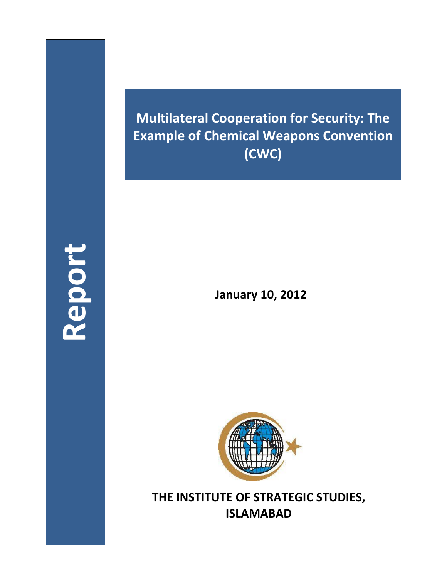**Multilateral Cooperation for Security: The Example of Chemical Weapons Convention (CWC)**

**Report**

**January 10, 2012**



**THE INSTITUTE OF STRATEGIC STUDIES, ISLAMABAD**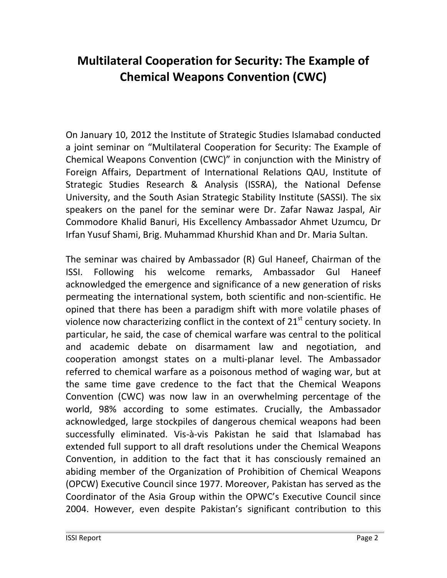## **Multilateral Cooperation for Security: The Example of Chemical Weapons Convention (CWC)**

On January 10, 2012 the Institute of Strategic Studies Islamabad conducted a joint seminar on "Multilateral Cooperation for Security: The Example of Chemical Weapons Convention (CWC)" in conjunction with the Ministry of Foreign Affairs, Department of International Relations QAU, Institute of Strategic Studies Research & Analysis (ISSRA), the National Defense University, and the South Asian Strategic Stability Institute (SASSI). The six speakers on the panel for the seminar were Dr. Zafar Nawaz Jaspal, Air Commodore Khalid Banuri, His Excellency Ambassador Ahmet Uzumcu, Dr Irfan Yusuf Shami, Brig. Muhammad Khurshid Khan and Dr. Maria Sultan.

The seminar was chaired by Ambassador (R) Gul Haneef, Chairman of the ISSI. Following his welcome remarks, Ambassador Gul Haneef acknowledged the emergence and significance of a new generation of risks permeating the international system, both scientific and non-scientific. He opined that there has been a paradigm shift with more volatile phases of violence now characterizing conflict in the context of 21<sup>st</sup> century society. In particular, he said, the case of chemical warfare was central to the political and academic debate on disarmament law and negotiation, and cooperation amongst states on a multi-planar level. The Ambassador referred to chemical warfare as a poisonous method of waging war, but at the same time gave credence to the fact that the Chemical Weapons Convention (CWC) was now law in an overwhelming percentage of the world, 98% according to some estimates. Crucially, the Ambassador acknowledged, large stockpiles of dangerous chemical weapons had been successfully eliminated. Vis-à-vis Pakistan he said that Islamabad has extended full support to all draft resolutions under the Chemical Weapons Convention, in addition to the fact that it has consciously remained an abiding member of the Organization of Prohibition of Chemical Weapons (OPCW) Executive Council since 1977. Moreover, Pakistan has served as the Coordinator of the Asia Group within the OPWC's Executive Council since 2004. However, even despite Pakistan's significant contribution to this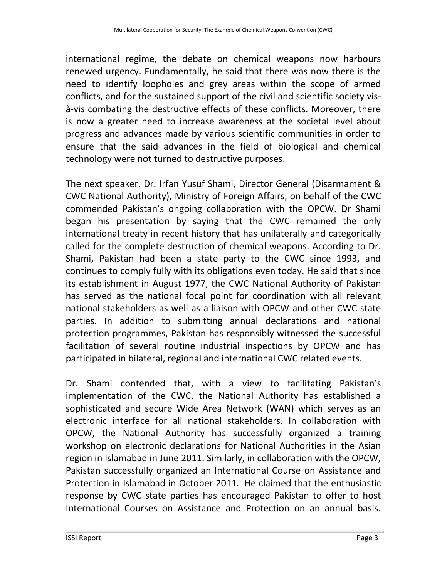international regime, the debate on chemical weapons now harbours renewed urgency. Fundamentally, he said that there was now there is the need to identify loopholes and grey areas within the scope of armed conflicts, and for the sustained support of the civil and scientific society visà-vis combating the destructive effects of these conflicts. Moreover, there is now a greater need to increase awareness at the societal level about progress and advances made by various scientific communities in order to ensure that the said advances in the field of biological and chemical technology were not turned to destructive purposes.

The next speaker, Dr. Irfan Yusuf Shami, Director General (Disarmament & CWC National Authority), Ministry of Foreign Affairs, on behalf of the CWC commended Pakistan's ongoing collaboration with the OPCW. Dr Shami began his presentation by saying that the CWC remained the only international treaty in recent history that has unilaterally and categorically called for the complete destruction of chemical weapons. According to Dr. Shami, Pakistan had been a state party to the CWC since 1993, and continues to comply fully with its obligations even today. He said that since its establishment in August 1977, the CWC National Authority of Pakistan has served as the national focal point for coordination with all relevant national stakeholders as well as a liaison with OPCW and other CWC state parties. In addition to submitting annual declarations and national protection programmes, Pakistan has responsibly witnessed the successful facilitation of several routine industrial inspections by OPCW and has participated in bilateral, regional and international CWC related events.

Dr. Shami contended that, with a view to facilitating Pakistan's implementation of the CWC, the National Authority has established a sophisticated and secure Wide Area Network (WAN) which serves as an electronic interface for all national stakeholders. In collaboration with OPCW, the National Authority has successfully organized a training workshop on electronic declarations for National Authorities in the Asian region in Islamabad in June 2011. Similarly, in collaboration with the OPCW, Pakistan successfully organized an International Course on Assistance and Protection in Islamabad in October 2011. He claimed that the enthusiastic response by CWC state parties has encouraged Pakistan to offer to host International Courses on Assistance and Protection on an annual basis.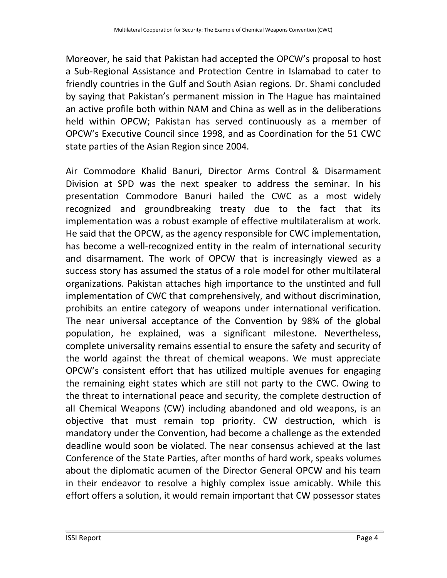Moreover, he said that Pakistan had accepted the OPCW's proposal to host a Sub-Regional Assistance and Protection Centre in Islamabad to cater to friendly countries in the Gulf and South Asian regions. Dr. Shami concluded by saying that Pakistan's permanent mission in The Hague has maintained an active profile both within NAM and China as well as in the deliberations held within OPCW; Pakistan has served continuously as a member of OPCW's Executive Council since 1998, and as Coordination for the 51 CWC state parties of the Asian Region since 2004.

Air Commodore Khalid Banuri, Director Arms Control & Disarmament Division at SPD was the next speaker to address the seminar. In his presentation Commodore Banuri hailed the CWC as a most widely recognized and groundbreaking treaty due to the fact that its implementation was a robust example of effective multilateralism at work. He said that the OPCW, as the agency responsible for CWC implementation, has become a well-recognized entity in the realm of international security and disarmament. The work of OPCW that is increasingly viewed as a success story has assumed the status of a role model for other multilateral organizations. Pakistan attaches high importance to the unstinted and full implementation of CWC that comprehensively, and without discrimination, prohibits an entire category of weapons under international verification. The near universal acceptance of the Convention by 98% of the global population, he explained, was a significant milestone. Nevertheless, complete universality remains essential to ensure the safety and security of the world against the threat of chemical weapons. We must appreciate OPCW's consistent effort that has utilized multiple avenues for engaging the remaining eight states which are still not party to the CWC. Owing to the threat to international peace and security, the complete destruction of all Chemical Weapons (CW) including abandoned and old weapons, is an objective that must remain top priority. CW destruction, which is mandatory under the Convention, had become a challenge as the extended deadline would soon be violated. The near consensus achieved at the last Conference of the State Parties, after months of hard work, speaks volumes about the diplomatic acumen of the Director General OPCW and his team in their endeavor to resolve a highly complex issue amicably. While this effort offers a solution, it would remain important that CW possessor states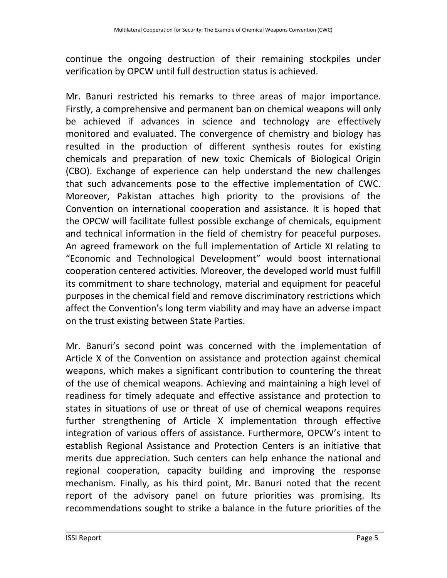continue the ongoing destruction of their remaining stockpiles under verification by OPCW until full destruction status is achieved.

Mr. Banuri restricted his remarks to three areas of major importance. Firstly, a comprehensive and permanent ban on chemical weapons will only be achieved if advances in science and technology are effectively monitored and evaluated. The convergence of chemistry and biology has resulted in the production of different synthesis routes for existing chemicals and preparation of new toxic Chemicals of Biological Origin (CBO). Exchange of experience can help understand the new challenges that such advancements pose to the effective implementation of CWC. Moreover, Pakistan attaches high priority to the provisions of the Convention on international cooperation and assistance. It is hoped that the OPCW will facilitate fullest possible exchange of chemicals, equipment and technical information in the field of chemistry for peaceful purposes. An agreed framework on the full implementation of Article XI relating to "Economic and Technological Development" would boost international cooperation centered activities. Moreover, the developed world must fulfill its commitment to share technology, material and equipment for peaceful purposes in the chemical field and remove discriminatory restrictions which affect the Convention's long term viability and may have an adverse impact on the trust existing between State Parties.

Mr. Banuri's second point was concerned with the implementation of Article X of the Convention on assistance and protection against chemical weapons, which makes a significant contribution to countering the threat of the use of chemical weapons. Achieving and maintaining a high level of readiness for timely adequate and effective assistance and protection to states in situations of use or threat of use of chemical weapons requires further strengthening of Article X implementation through effective integration of various offers of assistance. Furthermore, OPCW's intent to establish Regional Assistance and Protection Centers is an initiative that merits due appreciation. Such centers can help enhance the national and regional cooperation, capacity building and improving the response mechanism. Finally, as his third point, Mr. Banuri noted that the recent report of the advisory panel on future priorities was promising. Its recommendations sought to strike a balance in the future priorities of the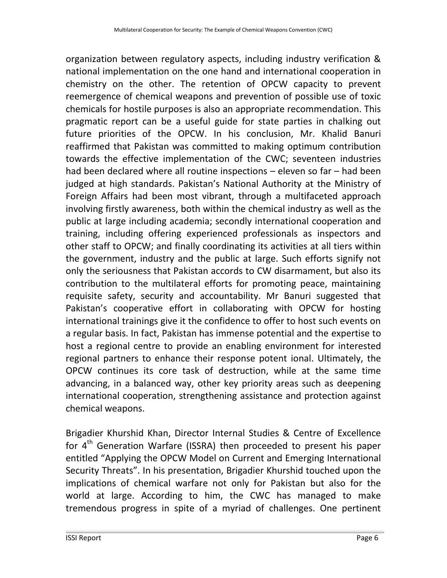organization between regulatory aspects, including industry verification & national implementation on the one hand and international cooperation in chemistry on the other. The retention of OPCW capacity to prevent reemergence of chemical weapons and prevention of possible use of toxic chemicals for hostile purposes is also an appropriate recommendation. This pragmatic report can be a useful guide for state parties in chalking out future priorities of the OPCW. In his conclusion, Mr. Khalid Banuri reaffirmed that Pakistan was committed to making optimum contribution towards the effective implementation of the CWC; seventeen industries had been declared where all routine inspections – eleven so far – had been judged at high standards. Pakistan's National Authority at the Ministry of Foreign Affairs had been most vibrant, through a multifaceted approach involving firstly awareness, both within the chemical industry as well as the public at large including academia; secondly international cooperation and training, including offering experienced professionals as inspectors and other staff to OPCW; and finally coordinating its activities at all tiers within the government, industry and the public at large. Such efforts signify not only the seriousness that Pakistan accords to CW disarmament, but also its contribution to the multilateral efforts for promoting peace, maintaining requisite safety, security and accountability. Mr Banuri suggested that Pakistan's cooperative effort in collaborating with OPCW for hosting international trainings give it the confidence to offer to host such events on a regular basis. In fact, Pakistan has immense potential and the expertise to host a regional centre to provide an enabling environment for interested regional partners to enhance their response potent ional. Ultimately, the OPCW continues its core task of destruction, while at the same time advancing, in a balanced way, other key priority areas such as deepening international cooperation, strengthening assistance and protection against chemical weapons.

Brigadier Khurshid Khan, Director Internal Studies & Centre of Excellence for 4<sup>th</sup> Generation Warfare (ISSRA) then proceeded to present his paper entitled "Applying the OPCW Model on Current and Emerging International Security Threats". In his presentation, Brigadier Khurshid touched upon the implications of chemical warfare not only for Pakistan but also for the world at large. According to him, the CWC has managed to make tremendous progress in spite of a myriad of challenges. One pertinent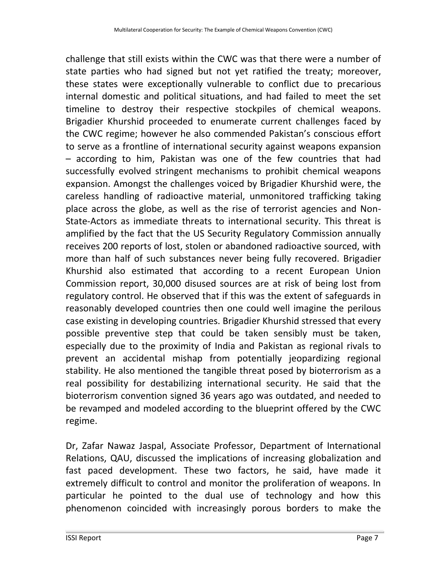challenge that still exists within the CWC was that there were a number of state parties who had signed but not yet ratified the treaty; moreover, these states were exceptionally vulnerable to conflict due to precarious internal domestic and political situations, and had failed to meet the set timeline to destroy their respective stockpiles of chemical weapons. Brigadier Khurshid proceeded to enumerate current challenges faced by the CWC regime; however he also commended Pakistan's conscious effort to serve as a frontline of international security against weapons expansion – according to him, Pakistan was one of the few countries that had successfully evolved stringent mechanisms to prohibit chemical weapons expansion. Amongst the challenges voiced by Brigadier Khurshid were, the careless handling of radioactive material, unmonitored trafficking taking place across the globe, as well as the rise of terrorist agencies and Non-State-Actors as immediate threats to international security. This threat is amplified by the fact that the US Security Regulatory Commission annually receives 200 reports of lost, stolen or abandoned radioactive sourced, with more than half of such substances never being fully recovered. Brigadier Khurshid also estimated that according to a recent European Union Commission report, 30,000 disused sources are at risk of being lost from regulatory control. He observed that if this was the extent of safeguards in reasonably developed countries then one could well imagine the perilous case existing in developing countries. Brigadier Khurshid stressed that every possible preventive step that could be taken sensibly must be taken, especially due to the proximity of India and Pakistan as regional rivals to prevent an accidental mishap from potentially jeopardizing regional stability. He also mentioned the tangible threat posed by bioterrorism as a real possibility for destabilizing international security. He said that the bioterrorism convention signed 36 years ago was outdated, and needed to be revamped and modeled according to the blueprint offered by the CWC regime.

Dr, Zafar Nawaz Jaspal, Associate Professor, Department of International Relations, QAU, discussed the implications of increasing globalization and fast paced development. These two factors, he said, have made it extremely difficult to control and monitor the proliferation of weapons. In particular he pointed to the dual use of technology and how this phenomenon coincided with increasingly porous borders to make the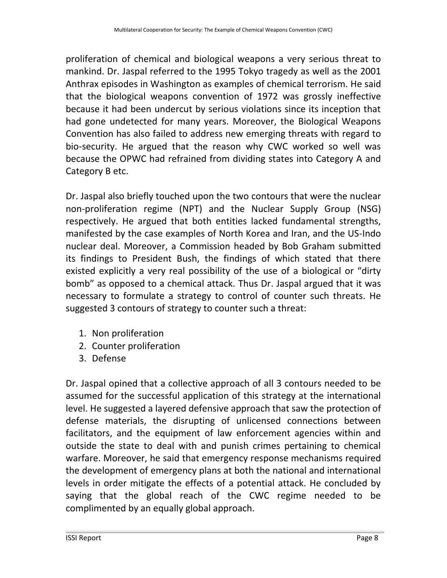proliferation of chemical and biological weapons a very serious threat to mankind. Dr. Jaspal referred to the 1995 Tokyo tragedy as well as the 2001 Anthrax episodes in Washington as examples of chemical terrorism. He said that the biological weapons convention of 1972 was grossly ineffective because it had been undercut by serious violations since its inception that had gone undetected for many years. Moreover, the Biological Weapons Convention has also failed to address new emerging threats with regard to bio-security. He argued that the reason why CWC worked so well was because the OPWC had refrained from dividing states into Category A and Category B etc.

Dr. Jaspal also briefly touched upon the two contours that were the nuclear non-proliferation regime (NPT) and the Nuclear Supply Group (NSG) respectively. He argued that both entities lacked fundamental strengths, manifested by the case examples of North Korea and Iran, and the US-Indo nuclear deal. Moreover, a Commission headed by Bob Graham submitted its findings to President Bush, the findings of which stated that there existed explicitly a very real possibility of the use of a biological or "dirty bomb" as opposed to a chemical attack. Thus Dr. Jaspal argued that it was necessary to formulate a strategy to control of counter such threats. He suggested 3 contours of strategy to counter such a threat:

- 1. Non proliferation
- 2. Counter proliferation
- 3. Defense

Dr. Jaspal opined that a collective approach of all 3 contours needed to be assumed for the successful application of this strategy at the international level. He suggested a layered defensive approach that saw the protection of defense materials, the disrupting of unlicensed connections between facilitators, and the equipment of law enforcement agencies within and outside the state to deal with and punish crimes pertaining to chemical warfare. Moreover, he said that emergency response mechanisms required the development of emergency plans at both the national and international levels in order mitigate the effects of a potential attack. He concluded by saying that the global reach of the CWC regime needed to be complimented by an equally global approach.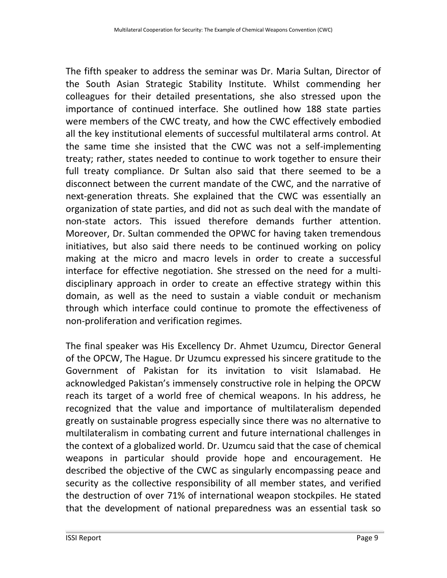The fifth speaker to address the seminar was Dr. Maria Sultan, Director of the South Asian Strategic Stability Institute. Whilst commending her colleagues for their detailed presentations, she also stressed upon the importance of continued interface. She outlined how 188 state parties were members of the CWC treaty, and how the CWC effectively embodied all the key institutional elements of successful multilateral arms control. At the same time she insisted that the CWC was not a self-implementing treaty; rather, states needed to continue to work together to ensure their full treaty compliance. Dr Sultan also said that there seemed to be a disconnect between the current mandate of the CWC, and the narrative of next-generation threats. She explained that the CWC was essentially an organization of state parties, and did not as such deal with the mandate of non-state actors. This issued therefore demands further attention. Moreover, Dr. Sultan commended the OPWC for having taken tremendous initiatives, but also said there needs to be continued working on policy making at the micro and macro levels in order to create a successful interface for effective negotiation. She stressed on the need for a multidisciplinary approach in order to create an effective strategy within this domain, as well as the need to sustain a viable conduit or mechanism through which interface could continue to promote the effectiveness of non-proliferation and verification regimes.

The final speaker was His Excellency Dr. Ahmet Uzumcu, Director General of the OPCW, The Hague. Dr Uzumcu expressed his sincere gratitude to the Government of Pakistan for its invitation to visit Islamabad. He acknowledged Pakistan's immensely constructive role in helping the OPCW reach its target of a world free of chemical weapons. In his address, he recognized that the value and importance of multilateralism depended greatly on sustainable progress especially since there was no alternative to multilateralism in combating current and future international challenges in the context of a globalized world. Dr. Uzumcu said that the case of chemical weapons in particular should provide hope and encouragement. He described the objective of the CWC as singularly encompassing peace and security as the collective responsibility of all member states, and verified the destruction of over 71% of international weapon stockpiles. He stated that the development of national preparedness was an essential task so